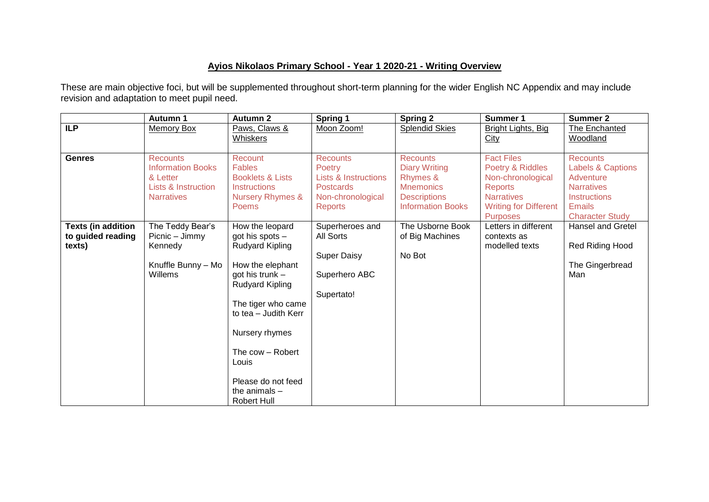## **Ayios Nikolaos Primary School - Year 1 2020-21 - Writing Overview**

These are main objective foci, but will be supplemented throughout short-term planning for the wider English NC Appendix and may include revision and adaptation to meet pupil need.

|                                                          | Autumn 1                                                                                            | <b>Autumn 2</b>                                                                                                                                                                                                                                                                           | <b>Spring 1</b>                                                                                                         | <b>Spring 2</b>                                                                                                            | Summer 1                                                                                                                                             | <b>Summer 2</b>                                                                                                                                     |
|----------------------------------------------------------|-----------------------------------------------------------------------------------------------------|-------------------------------------------------------------------------------------------------------------------------------------------------------------------------------------------------------------------------------------------------------------------------------------------|-------------------------------------------------------------------------------------------------------------------------|----------------------------------------------------------------------------------------------------------------------------|------------------------------------------------------------------------------------------------------------------------------------------------------|-----------------------------------------------------------------------------------------------------------------------------------------------------|
| <b>ILP</b>                                               | <b>Memory Box</b>                                                                                   | Paws, Claws &<br><b>Whiskers</b>                                                                                                                                                                                                                                                          | Moon Zoom!                                                                                                              | <b>Splendid Skies</b>                                                                                                      | Bright Lights, Big<br>City                                                                                                                           | The Enchanted<br>Woodland                                                                                                                           |
| <b>Genres</b>                                            | <b>Recounts</b><br><b>Information Books</b><br>& Letter<br>Lists & Instruction<br><b>Narratives</b> | Recount<br><b>Fables</b><br><b>Booklets &amp; Lists</b><br><b>Instructions</b><br><b>Nursery Rhymes &amp;</b><br><b>Poems</b>                                                                                                                                                             | <b>Recounts</b><br>Poetry<br><b>Lists &amp; Instructions</b><br><b>Postcards</b><br>Non-chronological<br><b>Reports</b> | <b>Recounts</b><br><b>Diary Writing</b><br>Rhymes &<br><b>Mnemonics</b><br><b>Descriptions</b><br><b>Information Books</b> | <b>Fact Files</b><br>Poetry & Riddles<br>Non-chronological<br><b>Reports</b><br><b>Narratives</b><br><b>Writing for Different</b><br><b>Purposes</b> | <b>Recounts</b><br><b>Labels &amp; Captions</b><br>Adventure<br><b>Narratives</b><br><b>Instructions</b><br><b>Emails</b><br><b>Character Study</b> |
| <b>Texts (in addition</b><br>to guided reading<br>texts) | The Teddy Bear's<br>Picnic - Jimmy<br>Kennedy<br>Knuffle Bunny - Mo<br>Willems                      | How the leopard<br>got his spots -<br><b>Rudyard Kipling</b><br>How the elephant<br>got his trunk -<br><b>Rudyard Kipling</b><br>The tiger who came<br>to tea - Judith Kerr<br>Nursery rhymes<br>The cow - Robert<br>Louis<br>Please do not feed<br>the animals $-$<br><b>Robert Hull</b> | Superheroes and<br><b>All Sorts</b><br><b>Super Daisy</b><br>Superhero ABC<br>Supertato!                                | The Usborne Book<br>of Big Machines<br>No Bot                                                                              | Letters in different<br>contexts as<br>modelled texts                                                                                                | <b>Hansel and Gretel</b><br>Red Riding Hood<br>The Gingerbread<br>Man                                                                               |